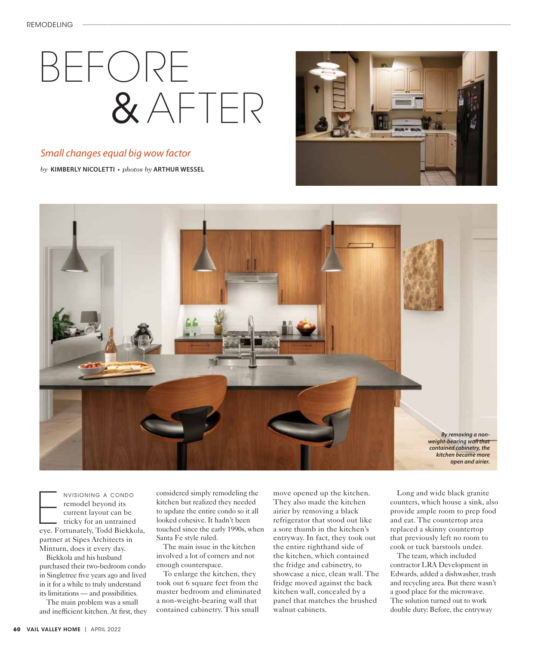## BEFORE & AFTER

## *Small changes equal big wow factor*

*by* **KIMBERLY NICOLETTI •** *photos by* **ARTHUR WESSEL**





NVISIONING A CONDO<br>
remodel beyond its<br>
current layout can be<br>
tricky for an untrained<br>
eye. Fortunately, Todd Biekkola, remodel beyond its current layout can be tricky for an untrained partner at Sipes Architects in Minturn, does it every day.

Biekkola and his husband purchased their two-bedroom condo in Singletree five years ago and lived in it for a while to truly understand its limitations — and possibilities.

The main problem was a small and inefficient kitchen. At first, they considered simply remodeling the kitchen but realized they needed to update the entire condo so it all looked cohesive. It hadn't been touched since the early 1990s, when Santa Fe style ruled.

The main issue in the kitchen involved a lot of corners and not enough counterspace.

To enlarge the kitchen, they took out 6 square feet from the master bedroom and eliminated a non-weight-bearing wall that contained cabinetry. This small

move opened up the kitchen. They also made the kitchen airier by removing a black refrigerator that stood out like a sore thumb in the kitchen's entryway. In fact, they took out the entire righthand side of the kitchen, which contained the fridge and cabinetry, to showcase a nice, clean wall. The fridge moved against the back kitchen wall, concealed by a panel that matches the brushed walnut cabinets.

Long and wide black granite counters, which house a sink, also provide ample room to prep food and eat. The countertop area replaced a skinny countertop that previously left no room to cook or tuck barstools under.

The team, which included contractor LRA Development in Edwards, added a dishwasher, trash and recycling area. But there wasn't a good place for the microwave. The solution turned out to work double duty: Before, the entryway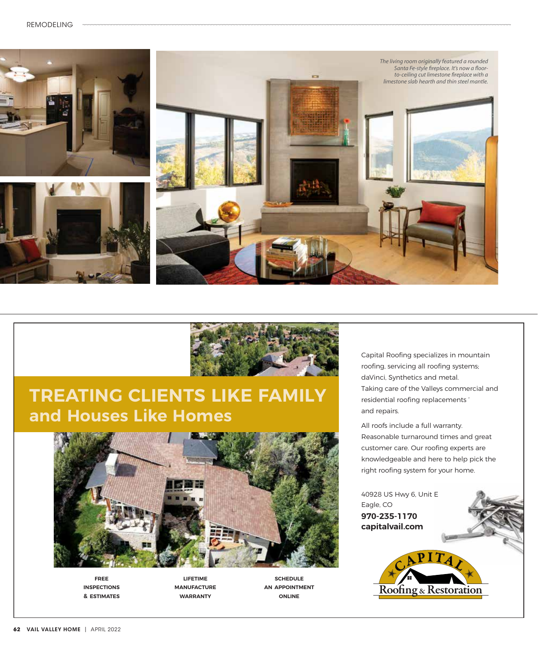



## **TREATING CLIENTS LIKE FAMILY and Houses Like Homes**



**free inspections & estimates**

**lifetime manufacture warranty**

**schedule an appointment online**

Capital Roofing specializes in mountain roofing, servicing all roofing systems; daVinci, Synthetics and metal. Taking care of the Valleys commercial and residential roofing replacements ' and repairs.

All roofs include a full warranty. Reasonable turnaround times and great customer care. Our roofing experts are knowledgeable and here to help pick the right roofing system for your home.

40928 US Hwy 6, Unit E Eagle, CO **970-235-1170 capitalvail.com**